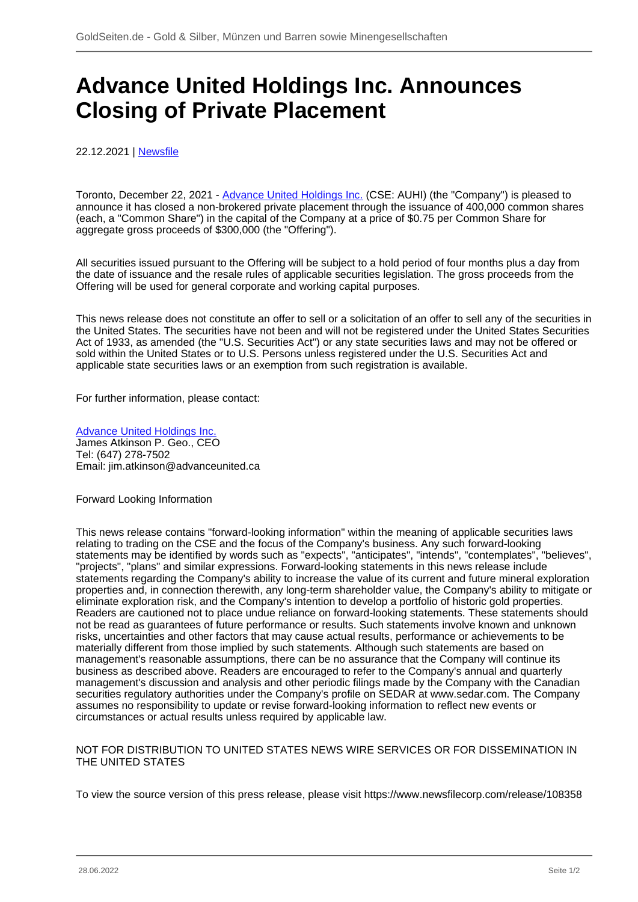## **Advance United Holdings Inc. Announces Closing of Private Placement**

22.12.2021 | [Newsfile](/profil/273--Newsfile)

Toronto, December 22, 2021 - [Advance United Holdings Inc.](/minen/4105--Advance-United-Holdings-Inc) (CSE: AUHI) (the "Company") is pleased to announce it has closed a non-brokered private placement through the issuance of 400,000 common shares (each, a "Common Share") in the capital of the Company at a price of \$0.75 per Common Share for aggregate gross proceeds of \$300,000 (the "Offering").

All securities issued pursuant to the Offering will be subject to a hold period of four months plus a day from the date of issuance and the resale rules of applicable securities legislation. The gross proceeds from the Offering will be used for general corporate and working capital purposes.

This news release does not constitute an offer to sell or a solicitation of an offer to sell any of the securities in the United States. The securities have not been and will not be registered under the United States Securities Act of 1933, as amended (the "U.S. Securities Act") or any state securities laws and may not be offered or sold within the United States or to U.S. Persons unless registered under the U.S. Securities Act and applicable state securities laws or an exemption from such registration is available.

For further information, please contact:

[Advance United Holdings Inc.](/minen/4105--Advance-United-Holdings-Inc) James Atkinson P. Geo., CEO Tel: (647) 278-7502 Email: jim.atkinson@advanceunited.ca

Forward Looking Information

This news release contains "forward-looking information" within the meaning of applicable securities laws relating to trading on the CSE and the focus of the Company's business. Any such forward-looking statements may be identified by words such as "expects", "anticipates", "intends", "contemplates", "believes", "projects", "plans" and similar expressions. Forward-looking statements in this news release include statements regarding the Company's ability to increase the value of its current and future mineral exploration properties and, in connection therewith, any long-term shareholder value, the Company's ability to mitigate or eliminate exploration risk, and the Company's intention to develop a portfolio of historic gold properties. Readers are cautioned not to place undue reliance on forward-looking statements. These statements should not be read as guarantees of future performance or results. Such statements involve known and unknown risks, uncertainties and other factors that may cause actual results, performance or achievements to be materially different from those implied by such statements. Although such statements are based on management's reasonable assumptions, there can be no assurance that the Company will continue its business as described above. Readers are encouraged to refer to the Company's annual and quarterly management's discussion and analysis and other periodic filings made by the Company with the Canadian securities regulatory authorities under the Company's profile on SEDAR at www.sedar.com. The Company assumes no responsibility to update or revise forward-looking information to reflect new events or circumstances or actual results unless required by applicable law.

NOT FOR DISTRIBUTION TO UNITED STATES NEWS WIRE SERVICES OR FOR DISSEMINATION IN THE UNITED STATES

To view the source version of this press release, please visit https://www.newsfilecorp.com/release/108358